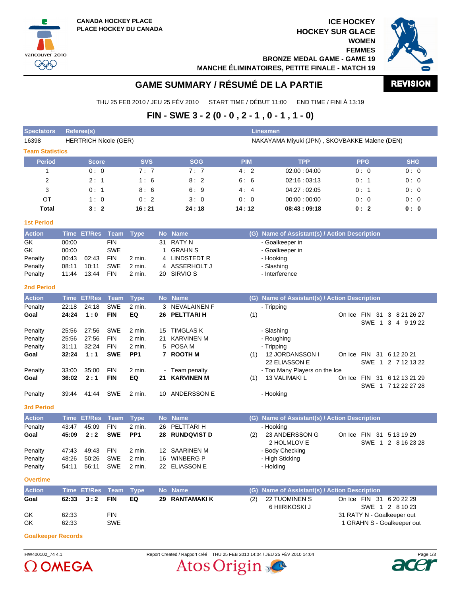vancouver 2010  $QQQ$ 

**ICE HOCKEY HOCKEY SUR GLACE WOMEN FEMMES**

**BRONZE MEDAL GAME - GAME 19**



**MANCHE ÉLIMINATOIRES, PETITE FINALE - MATCH 19**



# **GAME SUMMARY / RÉSUMÉ DE LA PARTIE**

THU 25 FEB 2010 / JEU 25 FÉV 2010 START TIME / DÉBUT 11:00 END TIME / FINI À 13:19

## **FIN - SWE 3 - 2 (0 - 0 , 2 - 1 , 0 - 1 , 1 - 0)**

| <b>Spectators</b>      |                                                                               | <b>Referee(s)</b>  |             |                 |           |                       |            | <b>Linesmen</b>                               |               |            |                                                |  |
|------------------------|-------------------------------------------------------------------------------|--------------------|-------------|-----------------|-----------|-----------------------|------------|-----------------------------------------------|---------------|------------|------------------------------------------------|--|
| 16398                  | <b>HERTRICH Nicole (GER)</b><br>NAKAYAMA Miyuki (JPN), SKOVBAKKE Malene (DEN) |                    |             |                 |           |                       |            |                                               |               |            |                                                |  |
| <b>Team Statistics</b> |                                                                               |                    |             |                 |           |                       |            |                                               |               |            |                                                |  |
| <b>Period</b>          |                                                                               | <b>Score</b>       |             | <b>SVS</b>      |           | <b>SOG</b>            | <b>PIM</b> | <b>TPP</b>                                    |               | <b>PPG</b> | <b>SHG</b>                                     |  |
| 1                      |                                                                               | 0:0                |             | 7:7             |           | 7:7                   | 4:2        | 02:00:04:00                                   |               | 0:0        | 0:0                                            |  |
| $\overline{2}$         |                                                                               | 2:1                |             | 1:6             |           | 8:2                   | 6:6        | 02:16:03:13                                   |               | 0:1        | 0:0                                            |  |
| 3                      |                                                                               | 0:1                |             | 8:6             |           | 6:9                   | 4:4        | 04:27:02:05                                   |               | 0:1        | 0:0                                            |  |
| OT                     |                                                                               | 1:0                |             | 0:2             |           | 3:0                   | 0:0        | 00:00:00:00                                   |               | 0:0        | 0:0                                            |  |
| Total                  |                                                                               | 3:2                |             | 16:21           |           | 24:18                 | 14:12      | 08:43:09:18                                   |               | 0:2        | 0: 0                                           |  |
| <b>1st Period</b>      |                                                                               |                    |             |                 |           |                       |            |                                               |               |            |                                                |  |
| <b>Action</b>          |                                                                               | Time ET/Res        | Team        | <b>Type</b>     | <b>No</b> | <b>Name</b>           |            | (G) Name of Assistant(s) / Action Description |               |            |                                                |  |
| GK                     | 00:00                                                                         |                    | <b>FIN</b>  |                 | 31        | <b>RATY N</b>         |            | - Goalkeeper in                               |               |            |                                                |  |
| GK                     | 00:00                                                                         |                    | <b>SWE</b>  |                 | 1         | <b>GRAHN S</b>        |            | - Goalkeeper in                               |               |            |                                                |  |
| Penalty                | 00:43                                                                         | 02:43              | <b>FIN</b>  | 2 min.          | 4         | <b>LINDSTEDT R</b>    |            | - Hooking                                     |               |            |                                                |  |
| Penalty                | 08:11                                                                         | 10:11              | <b>SWE</b>  | 2 min.          |           | 4 ASSERHOLT J         |            | - Slashing                                    |               |            |                                                |  |
| Penalty                | 11:44                                                                         | 13:44              | <b>FIN</b>  | 2 min.          |           | 20 SIRVIO S           |            | - Interference                                |               |            |                                                |  |
| <b>2nd Period</b>      |                                                                               |                    |             |                 |           |                       |            |                                               |               |            |                                                |  |
| <b>Action</b>          |                                                                               | <b>Time ET/Res</b> | <b>Team</b> | <b>Type</b>     |           | No Name               |            | (G) Name of Assistant(s) / Action Description |               |            |                                                |  |
| Penalty                | 22:18                                                                         | 24:18              | <b>SWE</b>  | 2 min.          |           | 3 NEVALAINEN F        |            | - Tripping                                    |               |            |                                                |  |
| Goal                   | 24:24                                                                         | 1:0                | <b>FIN</b>  | EQ              |           | 26 PELTTARI H         | (1)        |                                               | On Ice FIN 31 | SWE 1      | 3 8 21 26 27<br>3 4 9 19 22                    |  |
| Penalty                | 25:56                                                                         | 27:56              | <b>SWE</b>  | 2 min.          | 15        | <b>TIMGLAS K</b>      |            | - Slashing                                    |               |            |                                                |  |
| Penalty                | 25:56                                                                         | 27:56              | <b>FIN</b>  | 2 min.          | 21        | <b>KARVINEN M</b>     |            | - Roughing                                    |               |            |                                                |  |
| Penalty                | 31:11                                                                         | 32:24              | <b>FIN</b>  | 2 min.          |           | 5 POSA M              |            | - Tripping                                    |               |            |                                                |  |
| Goal                   | 32:24                                                                         | 1:1                | <b>SWE</b>  | PP <sub>1</sub> |           | 7 ROOTH M             | (1)        | 12 JORDANSSON I<br>22 ELIASSON E              |               |            | On Ice FIN 31 6 12 20 21<br>SWE 1 2 7 12 13 22 |  |
| Penalty                | 33:00                                                                         | 35:00              | <b>FIN</b>  | 2 min.          |           | - Team penalty        |            | - Too Many Players on the Ice                 |               |            |                                                |  |
| Goal                   | 36:02                                                                         | 2:1                | <b>FIN</b>  | EQ              | 21        | <b>KARVINEN M</b>     | (1)        | <b>13 VALIMAKI L</b>                          |               |            | On Ice FIN 31 6 12 13 21 29                    |  |
|                        |                                                                               |                    |             |                 |           |                       |            |                                               |               |            | SWE 1 7 12 22 27 28                            |  |
| Penalty                | 39:44                                                                         | 41:44              | SWE         | 2 min.          | 10        | ANDERSSON E           |            | - Hooking                                     |               |            |                                                |  |
| <b>3rd Period</b>      |                                                                               |                    |             |                 |           |                       |            |                                               |               |            |                                                |  |
| <b>Action</b>          |                                                                               | <b>Time ET/Res</b> | <b>Team</b> | <b>Type</b>     |           | No Name               | (G)        | Name of Assistant(s) / Action Description     |               |            |                                                |  |
| Penalty                | 43:47                                                                         | 45:09              | <b>FIN</b>  | 2 min.          | 26        | PELTTARI H            |            | - Hooking                                     |               |            |                                                |  |
| Goal                   | 45:09                                                                         | 2:2                | <b>SWE</b>  | PP <sub>1</sub> |           | <b>28 RUNDQVIST D</b> | (2)        | 23 ANDERSSON G<br>2 HOLMLOV E                 |               |            | On Ice FIN 31 5 13 19 29                       |  |
| Penalty                | 47:43                                                                         | 49:43              | <b>FIN</b>  | 2 min.          |           | 12 SAARINEN M         |            | - Body Checking                               |               |            | SWE 1 2 8 16 23 28                             |  |
| Penalty                | 48:26                                                                         | 50:26              | <b>SWE</b>  | 2 min.          |           | 16 WINBERG P          |            | - High Sticking                               |               |            |                                                |  |
| Penalty                | 54:11                                                                         | 56:11              | SWE         | 2 min.          |           | 22 ELIASSON E         |            | - Holding                                     |               |            |                                                |  |
| <b>Overtime</b>        |                                                                               |                    |             |                 |           |                       |            |                                               |               |            |                                                |  |
| <b>Action</b>          |                                                                               | Time ET/Res        | Team        | <b>Type</b>     | <b>No</b> | <b>Name</b>           | (G)        | Name of Assistant(s) / Action Description     |               |            |                                                |  |
| Goal                   | 62:33                                                                         | 3:2                | <b>FIN</b>  | EQ              | 29        | <b>RANTAMAKIK</b>     | (2)        | 22 TUOMINEN S                                 |               |            | On Ice FIN 31 6 20 22 29                       |  |
|                        |                                                                               |                    |             |                 |           |                       |            | 6 HIIRIKOSKI J                                |               |            | SWE 1 2 8 10 23                                |  |
| GK                     | 62:33                                                                         |                    | <b>FIN</b>  |                 |           |                       |            |                                               |               |            | 31 RATY N - Goalkeeper out                     |  |
| GK                     | 62:33                                                                         |                    | SWE         |                 |           |                       |            |                                               |               |            | 1 GRAHN S - Goalkeeper out                     |  |

**Goalkeeper Records**



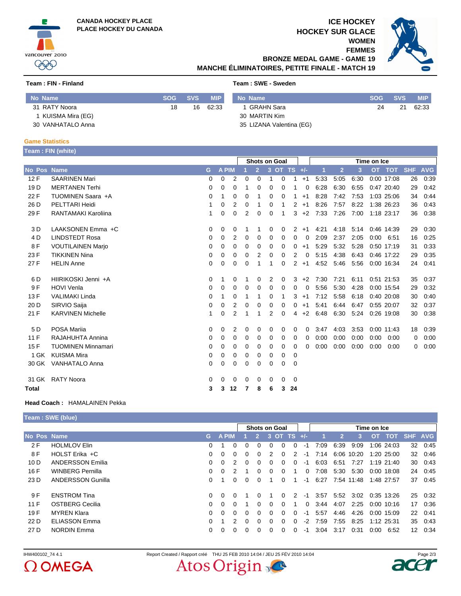



### **ICE HOCKEY HOCKEY SUR GLACE**

**WOMEN FEMMES**



**BRONZE MEDAL GAME - GAME 19 MANCHE ÉLIMINATOIRES, PETITE FINALE - MATCH 19**

#### **Team : FIN - Finland Team : SWE - Sweden**

| No Name           | <b>SOG</b> | <b>SVS</b> | <b>MIP</b> | No Name                  | <b>SOG</b> | <b>SVS</b> | <b>MIP</b> |
|-------------------|------------|------------|------------|--------------------------|------------|------------|------------|
| 31 RATY Noora     | 18         | 16         | 62:33      | GRAHN Sara               | 24         | 21         | 62:33      |
| KUISMA Mira (EG)  |            |            |            | 30 MARTIN Kim            |            |            |            |
| 30 VANHATALO Anna |            |            |            | 35 LIZANA Valentina (EG) |            |            |            |

#### **Game Statistics**

| Team: FIN (white) |  |
|-------------------|--|
|                   |  |
|                   |  |

|                 |                            |          |              |          | <b>Shots on Goal</b> |                |          |             |                | Time on Ice |             |                |      |      |               |            |            |
|-----------------|----------------------------|----------|--------------|----------|----------------------|----------------|----------|-------------|----------------|-------------|-------------|----------------|------|------|---------------|------------|------------|
| No Pos Name     |                            | G        | <b>A PIM</b> |          |                      | $\overline{2}$ |          | 3 OT TS +/- |                |             | $\mathbf 1$ | $\overline{2}$ | 3    |      | <b>OT TOT</b> | <b>SHF</b> | <b>AVG</b> |
| 12F             | <b>SAARINEN Mari</b>       | $\Omega$ | 0            | 2        | 0                    | 0              | 1        | $\Omega$    | 1              | $+1$        | 5:33        | 5:05           | 6:30 |      | 0:00 17:08    | 26         | 0:39       |
| 19 <sub>D</sub> | <b>MERTANEN Terhi</b>      | $\Omega$ | 0            | 0        |                      | 0              | 0        | 0           | 1              | 0           | 6:28        | 6:30           | 6:55 |      | 0:47 20:40    | 29         | 0:42       |
| 22 F            | TUOMINEN Saara +A          | $\Omega$ |              | 0        | 0                    |                | 0        | 0           | 1              | $+1$        | 8:28        | 7:42           | 7:53 |      | 1:03 25:06    | 34         | 0:44       |
| 26 D            | PELTTARI Heidi             | 1        | 0            | 2        | 0                    |                | 0        |             | 2              | $+1$        | 8:26        | 7:57           | 8:22 |      | 1:38 26:23    | 36         | 0.43       |
| 29 F            | <b>RANTAMAKI Karoliina</b> | 1        | 0            | 0        | 2                    | 0              | 0        | 1           | 3              | $+2$        | 7:33        | 7:26           | 7:00 |      | 1:18 23:17    | 36         | 0:38       |
| 3 D             | LAAKSONEN Emma +C          | 0        | 0            | 0        |                      |                | 0        | 0           | 2              | $+1$        | 4:21        | 4:18           | 5:14 |      | 0:46 14:39    | 29         | 0:30       |
| 4 D             | <b>LINDSTEDT Rosa</b>      | $\Omega$ | 0            | 2        | 0                    | 0              | 0        | 0           | 0              | 0           | 2:09        | 2:37           | 2:05 | 0:00 | 6:51          | 16         | 0:25       |
| 8F              | <b>VOUTILAINEN Marjo</b>   | 0        | 0            | 0        | 0                    | 0              | 0        | 0           | 0              | $+1$        | 5:29        | 5:32           | 5:28 |      | 0:50 17:19    | 31         | 0:33       |
| 23 F            | <b>TIKKINEN Nina</b>       | 0        | 0            | 0        | 0                    | 2              | 0        | 0           | 2              | 0           | 5:15        | 4:38           | 6:43 |      | 0:46 17:22    | 29         | 0:35       |
| 27 F            | <b>HELIN Anne</b>          | 0        | 0            | 0        | 0                    |                | 1        | $\Omega$    | $\overline{2}$ | $+1$        | 4:52        | 5:46           | 5:56 |      | 0:00 16:34    | 24         | 0:41       |
| 6 D             | HIIRIKOSKI Jenni +A        | 0        |              | 0        |                      | 0              | 2        | 0           | 3              | $+2$        | 7:30        | 7:21           | 6:11 |      | 0:51 21:53    | 35         | 0:37       |
| 9F              | <b>HOVI Venla</b>          | $\Omega$ | 0            | $\Omega$ | 0                    | $\Omega$       | 0        | 0           | 0              | 0           | 5:56        | 5:30           | 4:28 |      | 0:00 15:54    | 29         | 0:32       |
| 13F             | <b>VALIMAKI Linda</b>      | $\Omega$ |              | 0        |                      | 1              | 0        | 1           | 3              | $+1$        | 7:12        | 5:58           | 6:18 |      | 0:40 20:08    | 30         | 0:40       |
| 20 D            | SIRVIO Saija               | $\Omega$ | 0            | 2        | 0                    | 0              | 0        | 0           | 0              | $+1$        | 5:41        | 6:44           | 6:47 |      | 0:55 20:07    | 32         | 0:37       |
| 21 F            | <b>KARVINEN Michelle</b>   | 1        | 0            | 2        |                      |                | 2        | $\Omega$    | 4              | $+2$        | 6:48        | 6:30           | 5:24 |      | 0:26 19:08    | 30         | 0:38       |
| 5 <sub>D</sub>  | POSA Marija                | $\Omega$ | 0            | 2        | 0                    | 0              | 0        | 0           | 0              | 0           | 3:47        | 4:03           | 3:53 |      | 0:00 11:43    | 18         | 0:39       |
| 11F             | RAJAHUHTA Annina           | 0        | 0            | 0        | 0                    | 0              | 0        | 0           | 0              | 0           | 0:00        | 0:00           | 0:00 | 0:00 | 0:00          | 0          | 0:00       |
| 15F             | <b>TUOMINEN Minnamari</b>  | 0        | 0            | 0        | 0                    | 0              | 0        | 0           | 0              | $\Omega$    | 0:00        | 0:00           | 0:00 | 0:00 | 0:00          | 0          | 0:00       |
| 1 GK            | <b>KUISMA Mira</b>         | 0        | 0            | 0        | 0                    | 0              | 0        | 0           | 0              |             |             |                |      |      |               |            |            |
| 30 GK           | <b>VANHATALO Anna</b>      | 0        | 0            | 0        | 0                    | 0              | 0        | 0           | 0              |             |             |                |      |      |               |            |            |
| 31 GK           | <b>RATY Noora</b>          | 0        | 0            | 0        | 0                    | $\Omega$       | $\Omega$ | $\Omega$    | 0              |             |             |                |      |      |               |            |            |
| Total           |                            | 3        | 3            | 12       |                      | 8              | 6        | 3           | 24             |             |             |                |      |      |               |            |            |

### **Head Coach :** HAMALAINEN Pekka

 $\Omega$  OMEGA

|             | Team: SWE (blue)         |              |             |               |                      |               |               |               |               |          |             |      |                |      |                |                 |         |
|-------------|--------------------------|--------------|-------------|---------------|----------------------|---------------|---------------|---------------|---------------|----------|-------------|------|----------------|------|----------------|-----------------|---------|
|             |                          |              |             |               | <b>Shots on Goal</b> |               |               |               |               |          | Time on Ice |      |                |      |                |                 |         |
| No Pos Name |                          | G.           | <b>APIM</b> |               |                      | $\mathcal{P}$ |               | 3 OT TS $+/-$ |               |          |             | 12   | 3 <sup>1</sup> |      | OT TOT SHF AVG |                 |         |
| 2 F         | <b>HOLMLOV Elin</b>      | $\Omega$     |             | 0             | $\Omega$             | 0             | 0             | $\Omega$      | 0             | -1       | 7:09        | 6:39 | 9:09           |      | 1:06 24:03     | 32              | 0:45    |
| 8 F         | HOLST Erika +C           | <sup>0</sup> | 0           | 0             | $\Omega$             | 0             | $\mathcal{P}$ | $\Omega$      | 2             | -1       | 7:14        |      | 6:06 10:20     |      | 1:20 25:00     | 32              | 0:46    |
| 10D         | <b>ANDERSSON Emilia</b>  | $\Omega$     | $\Omega$    | $\mathcal{P}$ | $\Omega$             | 0             | $\Omega$      | $\Omega$      | 0             | -1       | 6:03        | 6:51 | 7:27           |      | 1:19 21:40     |                 | 30 0:43 |
| 16 F        | WINBERG Pernilla         | $\Omega$     | $\Omega$    | $\mathcal{P}$ |                      | 0             | $\Omega$      | $\Omega$      |               | $\Omega$ | 7:08        | 5:30 | 5:30           |      | $0:00$ 18:08   | 24              | 0:45    |
| 23 D        | <b>ANDERSSON Gunilla</b> | $\Omega$     |             | 0             | $\Omega$             | 0             |               | 0             |               | -1       | 6:27        |      | 7:54 11:48     |      | 1:48 27:57     | 37              | 0:45    |
| 9 F         | <b>ENSTROM Tina</b>      | $\Omega$     | $\Omega$    | 0             |                      | <sup>0</sup>  |               | $\Omega$      | $\mathcal{P}$ | -1       | 3:57        | 5:52 | 3:02           |      | 0:35 13:26     | 25              | 0:32    |
| 11F         | <b>OSTBERG Cecilia</b>   | 0            | 0           | $\Omega$      |                      | 0             | $\Omega$      | $\Omega$      |               | $\Omega$ | 3:44        | 4:07 | 2:25           |      | $0:00$ 10:16   | 17              | 0:36    |
| 19 F        | <b>MYREN Klara</b>       | $\Omega$     | $\Omega$    | $\Omega$      | $\Omega$             | $\Omega$      | $\Omega$      | $\Omega$      | 0             | $-1$     | 5:57        | 4:46 | 4:26           |      | 0:00 15:09     | 22              | 0:41    |
| 22 D        | <b>ELIASSON Emma</b>     |              |             | $\mathcal{P}$ | $\Omega$             | 0             | $\Omega$      | $\Omega$      | 0             | $-2$     | 7:59        | 7:55 | 8:25           |      | 1:12 25:31     | 35              | 0:43    |
| 27 D        | <b>NORDIN Emma</b>       |              |             | 0             | $\Omega$             | 0             | 0             | 0             | 0             | -1       | 3:04        | 3:17 | 0:31           | 0:00 | 6:52           | 12 <sup>2</sup> | 0:34    |